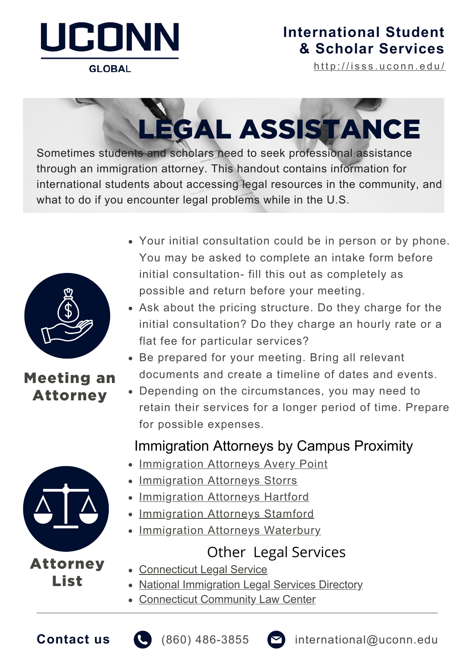

#### **GLOBAL**

### **[International](https://isss.uconn.edu/) Student & Scholar Services**

[h](http://isss.uconn.edu/)ttp://isss.uconn.edu/

# LEGAL ASSISTANCE

Sometimes students and scholars need to seek professional assistance through an immigration attorney. This handout contains information for international students about accessing legal resources in the community, and what to do if you encounter legal problems while in the U.S.



#### Meeting an Attorney



Attorney List

- Your initial consultation could be in person or by phone. You may be asked to complete an intake form before initial consultation- fill this out as completely as possible and return before your meeting.
- Ask about the pricing structure. Do they charge for the initial consultation? Do they charge an hourly rate or a flat fee for particular services?
- Be prepared for your meeting. Bring all relevant documents and create a timeline of dates and events.
- Depending on the circumstances, you may need to retain their services for a longer period of time. Prepare for possible expenses.

#### Immigration Attorneys by Campus Proximity

- [Immigration](https://isss.uconn.edu/wp-content/uploads/sites/76/2014/11/ISSS_152_Immigration-Attorney-List-Avery-Point.pdf) Attorneys Avery Point
- [Immigration](https://isss.uconn.edu/wp-content/uploads/sites/76/2014/11/ISSS_146_Immigration-Attorney-List-Storrs.pdf) Attorneys Storrs
- [Immigration](https://isss.uconn.edu/wp-content/uploads/sites/76/2014/11/ISSS_151_Immigration-Attorney-List-Hartford.pdf) Attorneys Hartford
- [Immigration](https://isss.uconn.edu/wp-content/uploads/sites/76/2014/11/ISSS_150_Immigration-Attorney-List-Stamford.pdf) Attorneys Stamford
- [Immigration](https://isss.uconn.edu/wp-content/uploads/sites/76/2014/11/Forms-Attorney-List-Waterbury.pdf) Attorneys Waterbury

## Other Legal Services

- [Connecticut](https://ctlegal.org/) Legal Service
- National [Immigration](https://www.immigrationadvocates.org/legaldirectory/) Legal Services Directory
- [Connecticut](https://cclc.law.uconn.edu/) Community Law Center